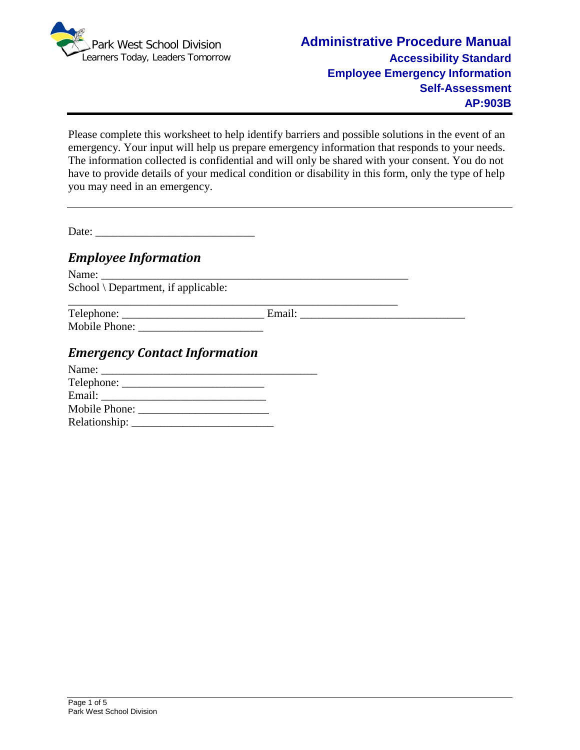

Please complete this worksheet to help identify barriers and possible solutions in the event of an emergency. Your input will help us prepare emergency information that responds to your needs. The information collected is confidential and will only be shared with your consent. You do not have to provide details of your medical condition or disability in this form, only the type of help you may need in an emergency.

Date:

# *Employee Information*

Name: \_\_\_\_\_\_\_\_\_\_\_\_\_\_\_\_\_\_\_\_\_\_\_\_\_\_\_\_\_\_\_\_\_\_\_\_\_\_\_\_\_\_\_\_\_\_\_\_\_\_\_\_\_\_ School \ Department, if applicable:

| Telephone:    | Email: |  |
|---------------|--------|--|
| Mobile Phone: |        |  |

# *Emergency Contact Information*

| Name: New York 1988 |  |
|---------------------|--|
| $\text{Telephone:}$ |  |
|                     |  |
|                     |  |
| Relationship:       |  |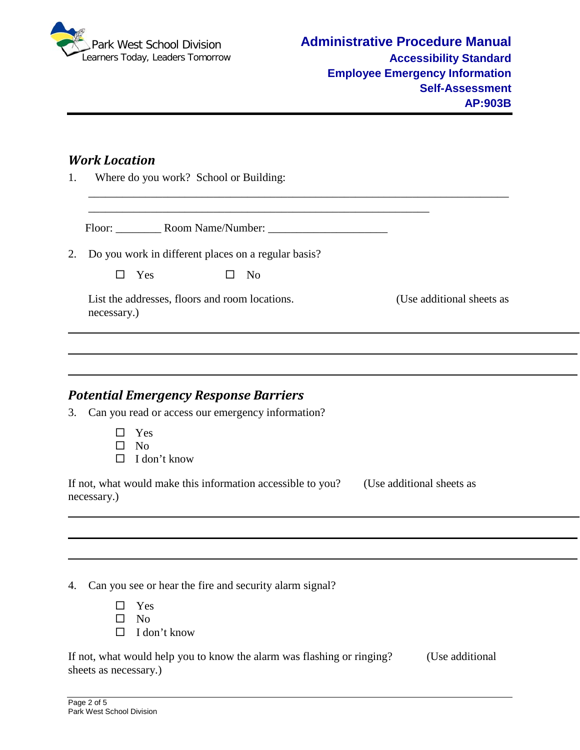

### *Work Location*

1. Where do you work? School or Building:

Floor: \_\_\_\_\_\_\_\_ Room Name/Number: \_\_\_\_\_\_\_\_\_\_\_\_\_\_\_\_\_\_\_\_\_

\_\_\_\_\_\_\_\_\_\_\_\_\_\_\_\_\_\_\_\_\_\_\_\_\_\_\_\_\_\_\_\_\_\_\_\_\_\_\_\_\_\_\_\_\_\_\_\_\_\_\_\_\_\_\_\_\_\_\_\_

\_\_\_\_\_\_\_\_\_\_\_\_\_\_\_\_\_\_\_\_\_\_\_\_\_\_\_\_\_\_\_\_\_\_\_\_\_\_\_\_\_\_\_\_\_\_\_\_\_\_\_\_\_\_\_\_\_\_\_\_\_\_\_\_\_\_\_\_\_\_\_\_\_\_

2. Do you work in different places on a regular basis?

| П<br><b>Yes</b> |  | No |
|-----------------|--|----|
|-----------------|--|----|

List the addresses, floors and room locations. (Use additional sheets as necessary.)

# *Potential Emergency Response Barriers*

- 3. Can you read or access our emergency information?
	- □ Yes
	- $\Box$  No
	- $\Box$  I don't know

If not, what would make this information accessible to you? (Use additional sheets as necessary.)

4. Can you see or hear the fire and security alarm signal?

| $\mathsf{L}$ | <b>Yes</b>          |
|--------------|---------------------|
|              | $\Box$ No           |
|              | $\Box$ I don't know |

If not, what would help you to know the alarm was flashing or ringing? (Use additional sheets as necessary.)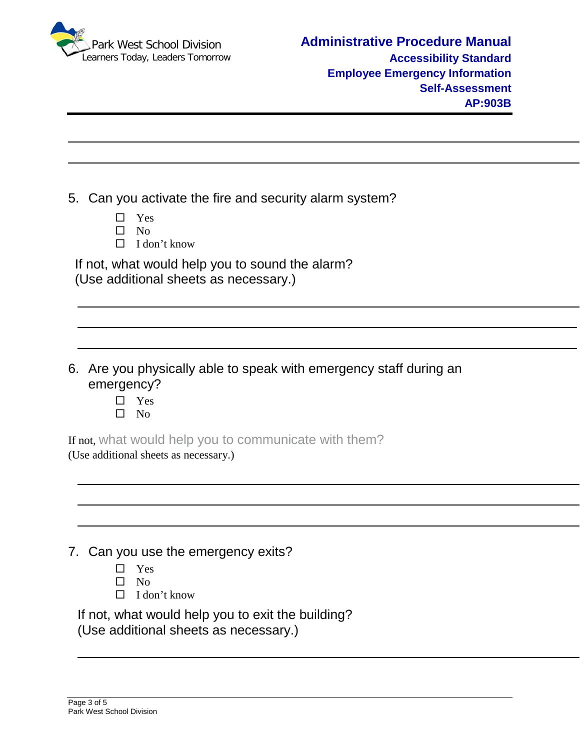

- 5. Can you activate the fire and security alarm system?
	- $\Box$  Yes
	- $\square$  No
	- $\Box$  I don't know

If not, what would help you to sound the alarm? (Use additional sheets as necessary.)

- 6. Are you physically able to speak with emergency staff during an emergency?
	- □ Yes
	- $\square$  No

If not, what would help you to communicate with them?

(Use additional sheets as necessary.)

|  |  | 7. Can you use the emergency exits? |  |
|--|--|-------------------------------------|--|
|--|--|-------------------------------------|--|

- □ Yes
- $\square$  No
- $\Box$  I don't know

If not, what would help you to exit the building? (Use additional sheets as necessary.)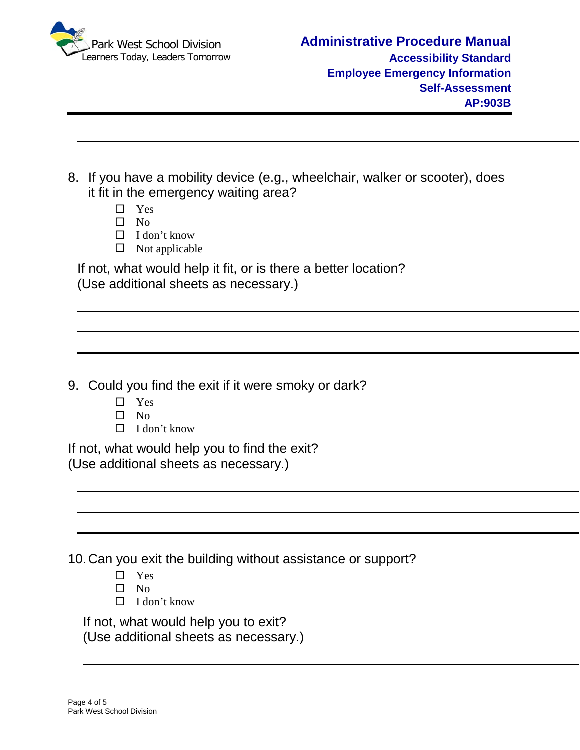

- 8. If you have a mobility device (e.g., wheelchair, walker or scooter), does it fit in the emergency waiting area?
	- □ Yes
	- $\square$  No
	- $\Box$  I don't know
	- $\Box$  Not applicable

If not, what would help it fit, or is there a better location? (Use additional sheets as necessary.)

9. Could you find the exit if it were smoky or dark?

- □ Yes
- $\Box$  No
- $\Box$  I don't know

If not, what would help you to find the exit? (Use additional sheets as necessary.)

10.Can you exit the building without assistance or support?

- $\Box$  Yes
- $\square$  No
- $\Box$  I don't know

If not, what would help you to exit?

(Use additional sheets as necessary.)